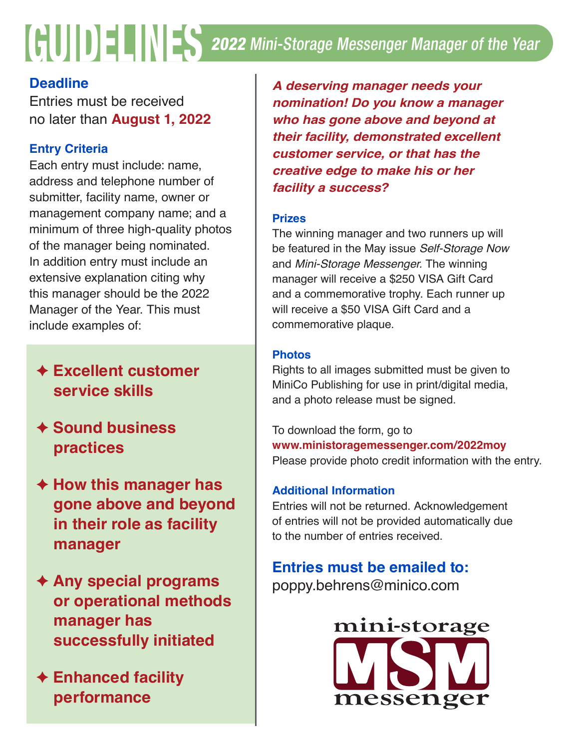# 2022 Mini-Storage Messenger Manager of the Year GUIDELINES

# **Deadline**

Entries must be received no later than **August 1, 2022**

## **Entry Criteria**

Each entry must include: name, address and telephone number of submitter, facility name, owner or management company name; and a minimum of three high-quality photos of the manager being nominated. In addition entry must include an extensive explanation citing why this manager should be the 2022 Manager of the Year. This must include examples of:

# **← Excellent customer service skills**

- F **Sound business practices**
- **← How this manager has gone above and beyond in their role as facility manager**
- ◆ Any special programs  **or operational methods manager has successfully initiated**
- **← Enhanced facility performance**

*A deserving manager needs your nomination! Do you know a manager who has gone above and beyond at their facility, demonstrated excellent customer service, or that has the creative edge to make his or her facility a success?*

#### **Prizes**

The winning manager and two runners up will be featured in the May issue *Self-Storage Now* and *Mini-Storage Messenger.* The winning manager will receive a \$250 VISA Gift Card and a commemorative trophy. Each runner up will receive a \$50 VISA Gift Card and a commemorative plaque.

## **Photos**

Rights to all images submitted must be given to MiniCo Publishing for use in print/digital media, and a photo release must be signed.

To download the form, go to **www.ministoragemessenger.com/2022moy** Please provide photo credit information with the entry.

## **Additional Information**

Entries will not be returned. Acknowledgement of entries will not be provided automatically due to the number of entries received.

# **Entries must be emailed to:**

poppy.behrens@minico.com